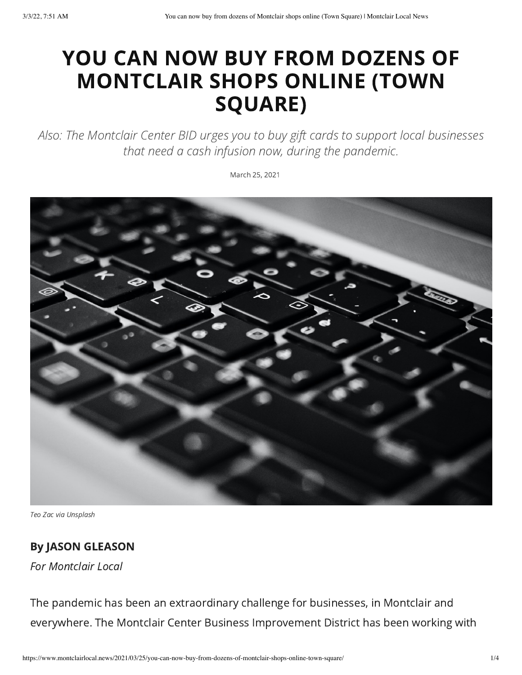## YOU CAN NOW BUY FROM DOZENS OF MONTCLAIR SHOPS ONLINE (TOWN SQUARE)

Also: The Montclair Center BID urges you to buy gift cards to support local businesses that need a cash infusion now, during the pandemic.

March 25, 2021



Teo Zac via Unsplash

## By JASON GLEASON

For Montclair Local

The pandemic has been an extraordinary challenge for businesses, in Montclair and everywhere. The Montclair Center Business Improvement District has been working with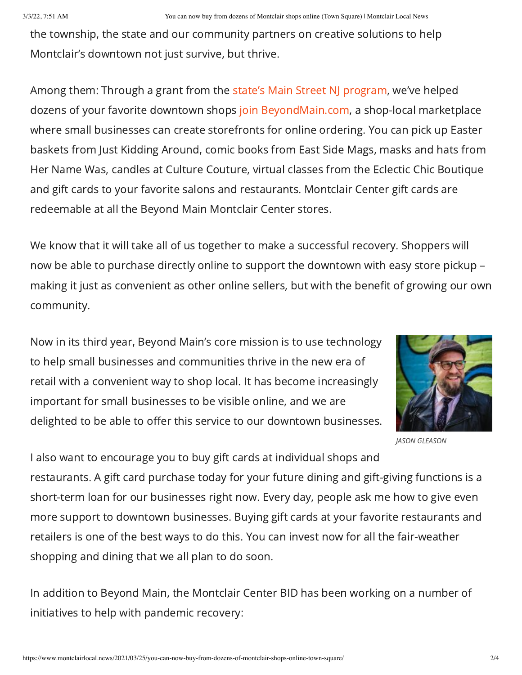the township, the state and our community partners on creative solutions to help Montclair's downtown not just survive, but thrive.

Among them: Through a grant from the state's Main Street NJ [program](https://www.nj.gov/dca/divisions/lps/msnj.html), we've helped dozens of your favorite downtown shops join [BeyondMain.com](https://beyondmain.com/g/montclair-center-bid/), a shop-local marketplace where small businesses can create storefronts for online ordering. You can pick up Easter baskets from Just Kidding Around, comic books from East Side Mags, masks and hats from Her Name Was, candles at Culture Couture, virtual classes from the Eclectic Chic Boutique and gift cards to your favorite salons and restaurants. Montclair Center gift cards are redeemable at all the Beyond Main Montclair Center stores.

We know that it will take all of us together to make a successful recovery. Shoppers will now be able to purchase directly online to support the downtown with easy store pickup – making it just as convenient as other online sellers, but with the benefit of growing our own community.

Now in its third year, Beyond Main's core mission is to use technology to help small businesses and communities thrive in the new era of retail with a convenient way to shop local. It has become increasingly important for small businesses to be visible online, and we are delighted to be able to offer this service to our downtown businesses.



JASON GLEASON

I also want to encourage you to buy gift cards at individual shops and restaurants. A gift card purchase today for your future dining and gift-giving functions is a short-term loan for our businesses right now. Every day, people ask me how to give even more support to downtown businesses. Buying gift cards at your favorite restaurants and retailers is one of the best ways to do this. You can invest now for all the fair-weather shopping and dining that we all plan to do soon.

In addition to Beyond Main, the Montclair Center BID has been working on a number of initiatives to help with pandemic recovery: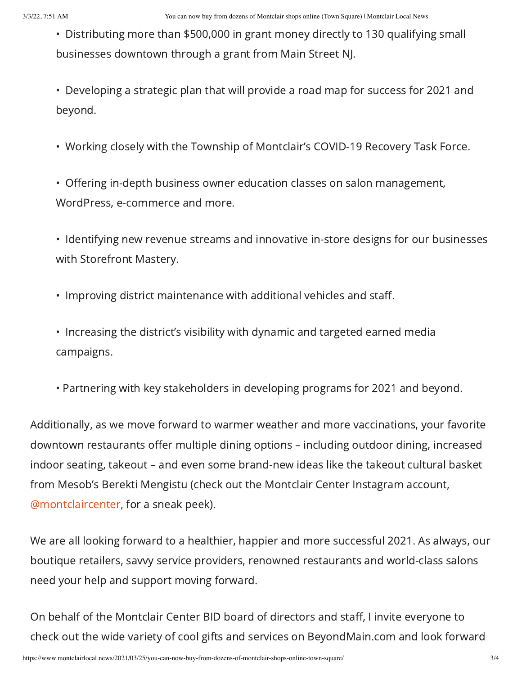- Distributing more than \$500,000 in grant money directly to 130 qualifying small businesses downtown through a grant from Main Street NJ.
- Developing a strategic plan that will provide a road map for success for 2021 and beyond.
- Working closely with the Township of Montclair's COVID-19 Recovery Task Force.
- Offering in-depth business owner education classes on salon management, WordPress, e-commerce and more.
- Identifying new revenue streams and innovative in-store designs for our businesses with Storefront Mastery.
- Improving district maintenance with additional vehicles and staff.
- Increasing the district's visibility with dynamic and targeted earned media campaigns.
- Partnering with key stakeholders in developing programs for 2021 and beyond.

Additionally, as we move forward to warmer weather and more vaccinations, your favorite downtown restaurants offer multiple dining options – including outdoor dining, increased indoor seating, takeout – and even some brand-new ideas like the takeout cultural basket from Mesob's Berekti Mengistu (check out the Montclair Center Instagram account, [@montclaircenter](https://www.instagram.com/montclaircenter/?hl=en), for a sneak peek).

We are all looking forward to a healthier, happier and more successful 2021. As always, our boutique retailers, savvy service providers, renowned restaurants and world-class salons need your help and support moving forward.

On behalf of the Montclair Center BID board of directors and staff, I invite everyone to check out the wide variety of cool gifts and services on BeyondMain.com and look forward